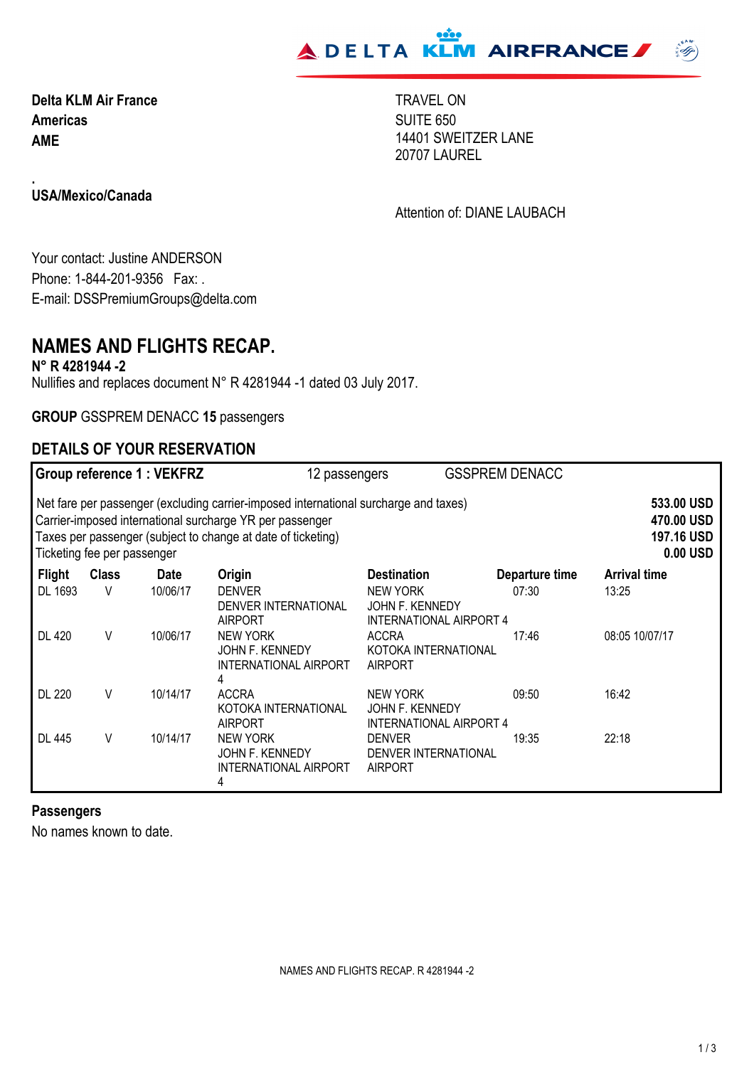

**Americas AME Delta KLM Air France** TRAVEL ON SUITE 650 14401 SWEITZER LANE 20707 LAUREL

**USA/Mexico/Canada**

**.**

Attention of: DIANE LAUBACH

Your contact: Justine ANDERSON Phone: 1-844-201-9356 Fax: . E-mail: DSSPremiumGroups@delta.com

## **NAMES AND FLIGHTS RECAP.**

**N° R 4281944 -2**

Nullifies and replaces document N° R 4281944 -1 dated 03 July 2017.

**GROUP** GSSPREM DENACC **15** passengers

### **DETAILS OF YOUR RESERVATION**

|                                                                                                                                                                                                                                                 |              | Group reference 1 : VEKFRZ | 12 passengers                                                    |                                                                      | <b>GSSPREM DENACC</b> |                                                    |
|-------------------------------------------------------------------------------------------------------------------------------------------------------------------------------------------------------------------------------------------------|--------------|----------------------------|------------------------------------------------------------------|----------------------------------------------------------------------|-----------------------|----------------------------------------------------|
| Net fare per passenger (excluding carrier-imposed international surcharge and taxes)<br>Carrier-imposed international surcharge YR per passenger<br>Taxes per passenger (subject to change at date of ticketing)<br>Ticketing fee per passenger |              |                            |                                                                  |                                                                      |                       | 533.00 USD<br>470.00 USD<br>197.16 USD<br>0.00 USD |
| <b>Flight</b>                                                                                                                                                                                                                                   | <b>Class</b> | <b>Date</b>                | Origin                                                           | <b>Destination</b>                                                   | Departure time        | <b>Arrival time</b>                                |
| DL 1693                                                                                                                                                                                                                                         | V            | 10/06/17                   | <b>DENVER</b><br>DENVER INTERNATIONAL<br><b>AIRPORT</b>          | <b>NEW YORK</b><br>JOHN F. KENNEDY<br><b>INTERNATIONAL AIRPORT 4</b> | 07:30                 | 13:25                                              |
| <b>DL 420</b>                                                                                                                                                                                                                                   | V            | 10/06/17                   | <b>NEW YORK</b><br>JOHN F. KENNEDY<br>INTERNATIONAL AIRPORT<br>4 | <b>ACCRA</b><br>KOTOKA INTERNATIONAL<br><b>AIRPORT</b>               | 17:46                 | 08:05 10/07/17                                     |
| <b>DL 220</b>                                                                                                                                                                                                                                   | V            | 10/14/17                   | <b>ACCRA</b><br>KOTOKA INTERNATIONAL<br><b>AIRPORT</b>           | <b>NEW YORK</b><br>JOHN F. KENNEDY<br><b>INTERNATIONAL AIRPORT 4</b> | 09:50                 | 16:42                                              |
| <b>DL 445</b>                                                                                                                                                                                                                                   | ٧            | 10/14/17                   | <b>NEW YORK</b><br>JOHN F. KENNEDY<br>INTERNATIONAL AIRPORT<br>4 | <b>DENVER</b><br><b>DENVER INTERNATIONAL</b><br><b>AIRPORT</b>       | 19:35                 | 22:18                                              |

#### **Passengers**

No names known to date.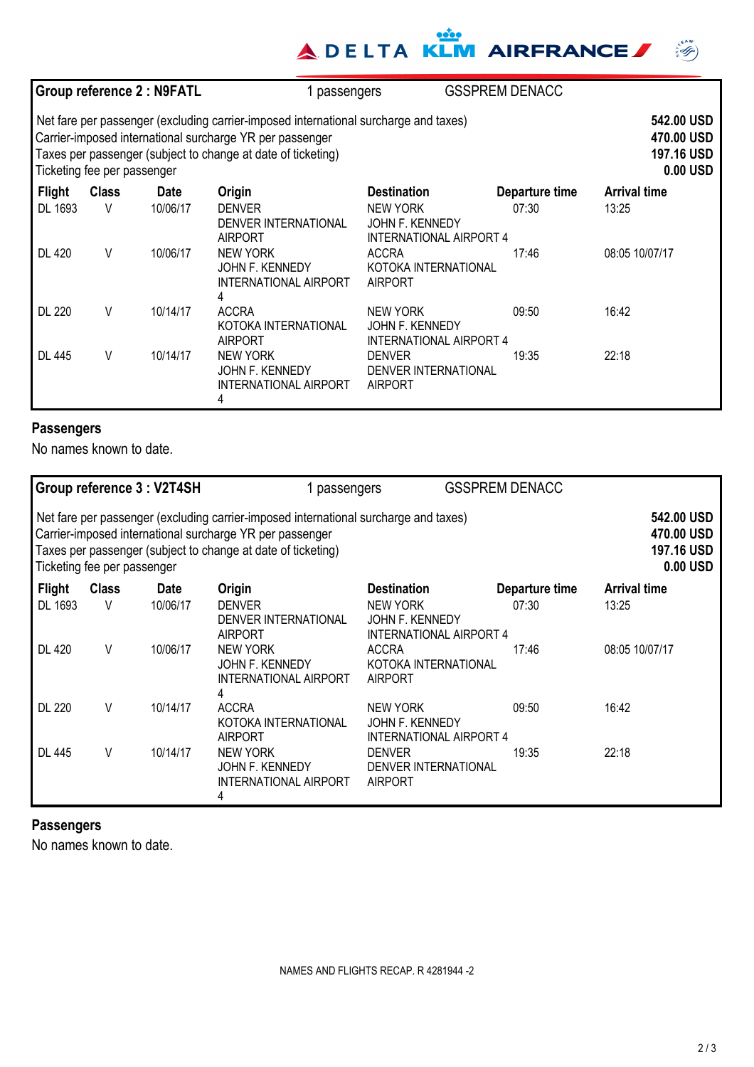# **ADELTA KLM AIRFRANCE**

|                                                                                                                                                                                                                                                 |              | Group reference 2 : N9FATL | 1 passengers                                                            |                                                               | <b>GSSPREM DENACC</b>                              |                     |
|-------------------------------------------------------------------------------------------------------------------------------------------------------------------------------------------------------------------------------------------------|--------------|----------------------------|-------------------------------------------------------------------------|---------------------------------------------------------------|----------------------------------------------------|---------------------|
| Net fare per passenger (excluding carrier-imposed international surcharge and taxes)<br>Carrier-imposed international surcharge YR per passenger<br>Taxes per passenger (subject to change at date of ticketing)<br>Ticketing fee per passenger |              |                            |                                                                         |                                                               | 542.00 USD<br>470.00 USD<br>197.16 USD<br>0.00 USD |                     |
| <b>Flight</b>                                                                                                                                                                                                                                   | <b>Class</b> | <b>Date</b>                | Origin                                                                  | <b>Destination</b>                                            | Departure time                                     | <b>Arrival time</b> |
| DL 1693                                                                                                                                                                                                                                         | V            | 10/06/17                   | <b>DENVER</b><br>DENVER INTERNATIONAL<br><b>AIRPORT</b>                 | <b>NEW YORK</b><br>JOHN F. KENNEDY<br>INTERNATIONAL AIRPORT 4 | 07:30                                              | 13:25               |
| <b>DL 420</b>                                                                                                                                                                                                                                   | V            | 10/06/17                   | <b>NEW YORK</b><br><b>JOHN F. KENNEDY</b><br>INTERNATIONAL AIRPORT<br>4 | <b>ACCRA</b><br>KOTOKA INTERNATIONAL<br><b>AIRPORT</b>        | 17:46                                              | 08:05 10/07/17      |
| <b>DL 220</b>                                                                                                                                                                                                                                   | V            | 10/14/17                   | <b>ACCRA</b><br>KOTOKA INTERNATIONAL<br><b>AIRPORT</b>                  | NEW YORK<br>JOHN F. KENNEDY<br><b>INTERNATIONAL AIRPORT 4</b> | 09:50                                              | 16:42               |
| <b>DL 445</b>                                                                                                                                                                                                                                   | V            | 10/14/17                   | <b>NEW YORK</b><br>JOHN F. KENNEDY<br><b>INTERNATIONAL AIRPORT</b><br>4 | <b>DENVER</b><br>DENVER INTERNATIONAL<br><b>AIRPORT</b>       | 19:35                                              | 22:18               |

## **Passengers**

No names known to date.

|                                                                                                                                                                                                                                                 |              | <b>Group reference 3: V2T4SH</b> | passengers                                                                     |                                                               | <b>GSSPREM DENACC</b> |                                                    |
|-------------------------------------------------------------------------------------------------------------------------------------------------------------------------------------------------------------------------------------------------|--------------|----------------------------------|--------------------------------------------------------------------------------|---------------------------------------------------------------|-----------------------|----------------------------------------------------|
| Net fare per passenger (excluding carrier-imposed international surcharge and taxes)<br>Carrier-imposed international surcharge YR per passenger<br>Taxes per passenger (subject to change at date of ticketing)<br>Ticketing fee per passenger |              |                                  |                                                                                |                                                               |                       | 542.00 USD<br>470.00 USD<br>197.16 USD<br>0.00 USD |
| <b>Flight</b>                                                                                                                                                                                                                                   | <b>Class</b> | Date                             | Origin                                                                         | <b>Destination</b>                                            | Departure time        | <b>Arrival time</b>                                |
| DL 1693                                                                                                                                                                                                                                         | V            | 10/06/17                         | <b>DENVER</b><br>DENVER INTERNATIONAL<br><b>AIRPORT</b>                        | <b>NEW YORK</b><br>JOHN F. KENNEDY<br>INTERNATIONAL AIRPORT 4 | 07:30                 | 13:25                                              |
| <b>DL 420</b>                                                                                                                                                                                                                                   | V            | 10/06/17                         | <b>NEW YORK</b><br><b>JOHN F. KENNEDY</b><br><b>INTERNATIONAL AIRPORT</b><br>4 | <b>ACCRA</b><br>KOTOKA INTERNATIONAL<br><b>AIRPORT</b>        | 17:46                 | 08:05 10/07/17                                     |
| <b>DL 220</b>                                                                                                                                                                                                                                   | V            | 10/14/17                         | <b>ACCRA</b><br>KOTOKA INTERNATIONAL<br><b>AIRPORT</b>                         | <b>NEW YORK</b><br>JOHN F. KENNEDY<br>INTERNATIONAL AIRPORT 4 | 09:50                 | 16:42                                              |
| <b>DL 445</b>                                                                                                                                                                                                                                   | V            | 10/14/17                         | <b>NEW YORK</b><br><b>JOHN F. KENNEDY</b><br><b>INTERNATIONAL AIRPORT</b><br>4 | <b>DENVER</b><br>DENVER INTERNATIONAL<br><b>AIRPORT</b>       | 19:35                 | 22:18                                              |

### **Passengers**

No names known to date.